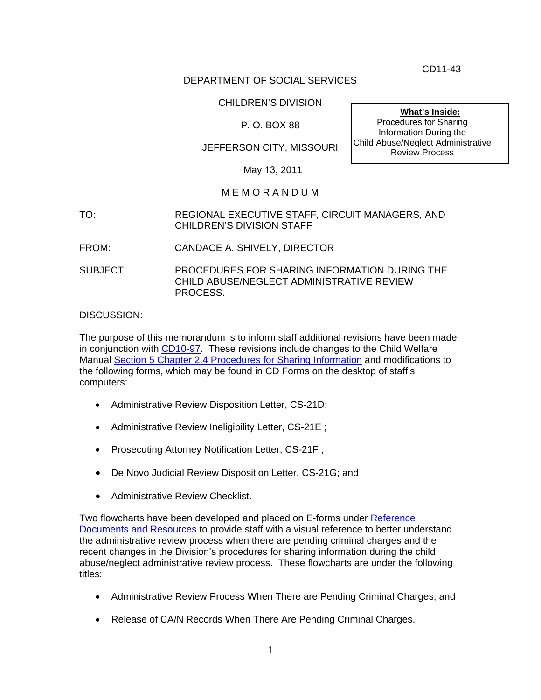CD11-43

## DEPARTMENT OF SOCIAL SERVICES

## CHILDREN'S DIVISION

## P. O. BOX 88

# JEFFERSON CITY, MISSOURI

**What's Inside:** Procedures for Sharing Information During the Child Abuse/Neglect Administrative Review Process

#### May 13, 2011

## M E M O R A N D U M

- TO: REGIONAL EXECUTIVE STAFF, CIRCUIT MANAGERS, AND CHILDREN'S DIVISION STAFF
- FROM: CANDACE A. SHIVELY, DIRECTOR
- SUBJECT: PROCEDURES FOR SHARING INFORMATION DURING THE CHILD ABUSE/NEGLECT ADMINISTRATIVE REVIEW PROCESS.

#### DISCUSSION:

The purpose of this memorandum is to inform staff additional revisions have been made in conjunction with [CD10-97.](http://dss.mo.gov/cd/info/memos/2010/cd10-097.pdf) These revisions include changes to the Child Welfare Manual [Section 5 Chapter 2.4 Procedures for Sharing Information](http://dss.mo.gov/cd/info/cwmanual/section5/ch2/sec5ch2sub4.htm) and modifications to the following forms, which may be found in CD Forms on the desktop of staff's computers:

- Administrative Review Disposition Letter, CS-21D;
- Administrative Review Ineligibility Letter, CS-21E ;
- Prosecuting Attorney Notification Letter, CS-21F ;
- De Novo Judicial Review Disposition Letter, CS-21G; and
- Administrative Review Checklist.

Two flowcharts have been developed and placed on E-forms under [Reference](http://dss.mo.gov/cd/info/forms/index.htm#rr)  [Documents and Resources](http://dss.mo.gov/cd/info/forms/) to provide staff with a visual reference to better understand the administrative review process when there are pending criminal charges and the recent changes in the Division's procedures for sharing information during the child abuse/neglect administrative review process. These flowcharts are under the following titles:

- Administrative Review Process When There are Pending Criminal Charges; and
- Release of CA/N Records When There Are Pending Criminal Charges.